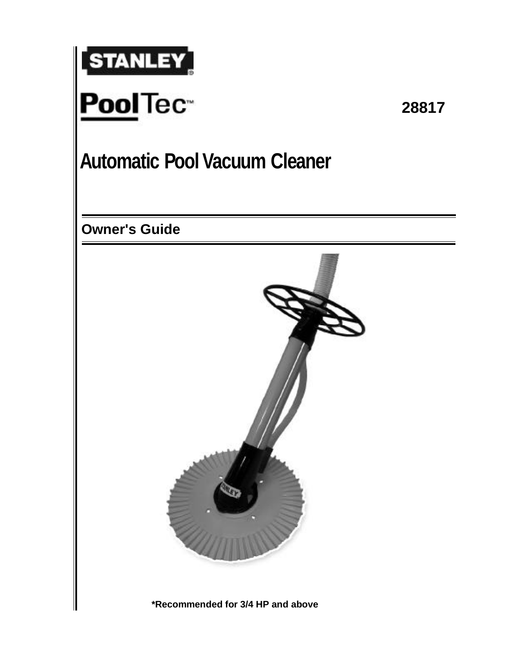

**28817**

# **Automatic Pool Vacuum Cleaner**

**Owner's Guide**



**\*Recommended for 3/4 HP and above**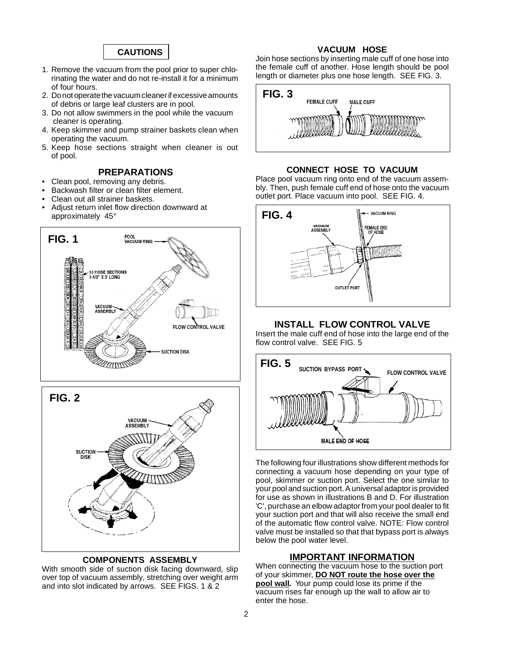

- 1. Remove the vacuum from the pool prior to super chlorinating the water and do not re-install it for a minimum of four hours.
- 2. Do not operate the vacuum cleaner if excessive amounts of debris or large leaf clusters are in pool.
- 3. Do not allow swimmers in the pool while the vacuum cleaner is operating.
- 4. Keep skimmer and pump strainer baskets clean when operating the vacuum.
- 5. Keep hose sections straight when cleaner is out of pool.

#### **PREPARATIONS**

- Clean pool, removing any debris.
- Backwash filter or clean filter element.
- Clean out all strainer baskets.
- Adjust return inlet flow direction downward at approximately 45°



#### **COMPONENTS ASSEMBLY**

With smooth side of suction disk facing downward, slip over top of vacuum assembly, stretching over weight arm and into slot indicated by arrows. SEE FIGS. 1 & 2

#### **VACUUM HOSE**

Join hose sections by inserting male cuff of one hose into the female cuff of another. Hose length should be pool length or diameter plus one hose length. SEE FIG. 3.



#### **CONNECT HOSE TO VACUUM**

Place pool vacuum ring onto end of the vacuum assembly. Then, push female cuff end of hose onto the vacuum outlet port. Place vacuum into pool. SEE FIG. 4.



#### **INSTALL FLOW CONTROL VALVE**

Insert the male cuff end of hose into the large end of the flow control valve. SEE FIG. 5



The following four illustrations show different methods for connecting a vacuum hose depending on your type of pool, skimmer or suction port. Select the one similar to your pool and suction port. A universal adaptor is provided for use as shown in illustrations B and D. For illustration 'C', purchase an elbow adaptor from your pool dealer to fit your suction port and that will also receive the small end of the automatic flow control valve. NOTE: Flow control valve must be installed so that that bypass port is always below the pool water level.

#### **IMPORTANT INFORMATION**

When connecting the vacuum hose to the suction port of your skimmer, **DO NOT route the hose over the pool wall.** Your pump could lose its prime if the vacuum rises far enough up the wall to allow air to enter the hose.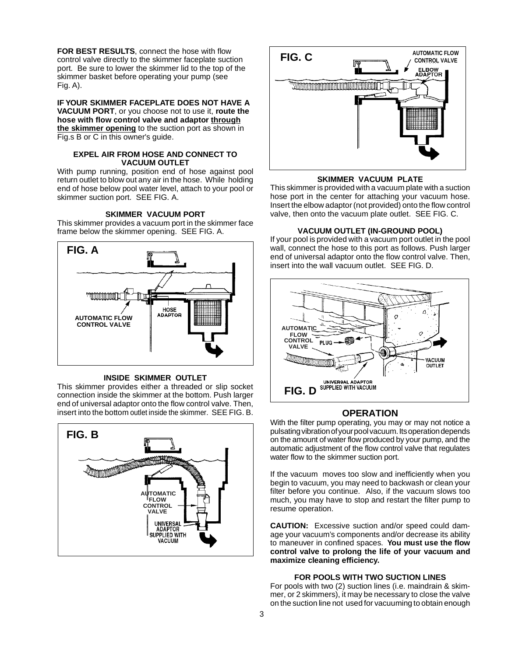**FOR BEST RESULTS**, connect the hose with flow control valve directly to the skimmer faceplate suction port. Be sure to lower the skimmer lid to the top of the skimmer basket before operating your pump (see Fig. A).

**IF YOUR SKIMMER FACEPLATE DOES NOT HAVE A VACUUM PORT**, or you choose not to use it, **route the hose with flow control valve and adaptor through the skimmer opening** to the suction port as shown in Fig.s B or C in this owner's guide.

#### **EXPEL AIR FROM HOSE AND CONNECT TO VACUUM OUTLET**

With pump running, position end of hose against pool return outlet to blow out any air in the hose. While holding end of hose below pool water level, attach to your pool or skimmer suction port. SEE FIG. A.

#### **SKIMMER VACUUM PORT**

This skimmer provides a vacuum port in the skimmer face frame below the skimmer opening. SEE FIG. A.



#### **INSIDE SKIMMER OUTLET**

This skimmer provides either a threaded or slip socket connection inside the skimmer at the bottom. Push larger end of universal adaptor onto the flow control valve. Then, insert into the bottom outlet inside the skimmer. SEE FIG. B.





#### **SKIMMER VACUUM PLATE**

This skimmer is provided with a vacuum plate with a suction hose port in the center for attaching your vacuum hose. Insert the elbow adaptor (not provided) onto the flow control valve, then onto the vacuum plate outlet. SEE FIG. C.

#### **VACUUM OUTLET (IN-GROUND POOL)**

If your pool is provided with a vacuum port outlet in the pool wall, connect the hose to this port as follows. Push larger end of universal adaptor onto the flow control valve. Then, insert into the wall vacuum outlet. SEE FIG. D.



#### **OPERATION**

With the filter pump operating, you may or may not notice a pulsating vibration of your pool vacuum. Its operation depends on the amount of water flow produced by your pump, and the automatic adjustment of the flow control valve that regulates water flow to the skimmer suction port.

If the vacuum moves too slow and inefficiently when you begin to vacuum, you may need to backwash or clean your filter before you continue. Also, if the vacuum slows too much, you may have to stop and restart the filter pump to resume operation.

**CAUTION:** Excessive suction and/or speed could damage your vacuum's components and/or decrease its ability to maneuver in confined spaces. **You must use the flow control valve to prolong the life of your vacuum and maximize cleaning efficiency.**

#### **FOR POOLS WITH TWO SUCTION LINES**

For pools with two (2) suction lines (i.e. maindrain & skimmer, or 2 skimmers), it may be necessary to close the valve on the suction line not used for vacuuming to obtain enough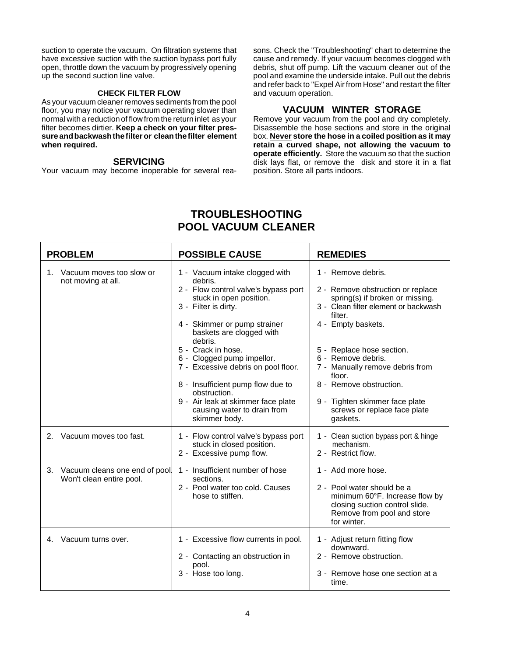suction to operate the vacuum. On filtration systems that have excessive suction with the suction bypass port fully open, throttle down the vacuum by progressively opening up the second suction line valve.

#### **CHECK FILTER FLOW**

As your vacuum cleaner removes sediments from the pool floor, you may notice your vacuum operating slower than normal with a reduction of flow from the return inlet as your filter becomes dirtier. **Keep a check on your filter pressure and backwash the filter or clean the filter element when required.**

#### **SERVICING**

Your vacuum may become inoperable for several rea-

sons. Check the "Troubleshooting" chart to determine the cause and remedy. If your vacuum becomes clogged with debris, shut off pump. Lift the vacuum cleaner out of the pool and examine the underside intake. Pull out the debris and refer back to "Expel Air from Hose" and restart the filter and vacuum operation.

#### **VACUUM WINTER STORAGE**

Remove your vacuum from the pool and dry completely. Disassemble the hose sections and store in the original box. **Never store the hose in a coiled position as it may retain a curved shape, not allowing the vacuum to operate efficiently.** Store the vacuum so that the suction disk lays flat, or remove the disk and store it in a flat position. Store all parts indoors.

#### **TROUBLESHOOTING POOL VACUUM CLEANER**

| <b>PROBLEM</b> |                                                           | <b>POSSIBLE CAUSE</b>                                                                                                                                                                                                                                                                                                                                                                                                                             | <b>REMEDIES</b>                                                                                                                                                                                                                                                                                                                                                              |
|----------------|-----------------------------------------------------------|---------------------------------------------------------------------------------------------------------------------------------------------------------------------------------------------------------------------------------------------------------------------------------------------------------------------------------------------------------------------------------------------------------------------------------------------------|------------------------------------------------------------------------------------------------------------------------------------------------------------------------------------------------------------------------------------------------------------------------------------------------------------------------------------------------------------------------------|
| 1.             | Vacuum moves too slow or<br>not moving at all.            | 1 - Vacuum intake clogged with<br>debris.<br>2 - Flow control valve's bypass port<br>stuck in open position.<br>3 - Filter is dirty.<br>4 - Skimmer or pump strainer<br>baskets are clogged with<br>debris.<br>5 - Crack in hose.<br>6 - Clogged pump impellor.<br>7 - Excessive debris on pool floor.<br>8 - Insufficient pump flow due to<br>obstruction.<br>9 - Air leak at skimmer face plate<br>causing water to drain from<br>skimmer body. | 1 - Remove debris.<br>2 - Remove obstruction or replace<br>spring(s) if broken or missing.<br>3 - Clean filter element or backwash<br>filter.<br>4 - Empty baskets.<br>5 - Replace hose section.<br>6 - Remove debris.<br>7 - Manually remove debris from<br>floor.<br>8 - Remove obstruction.<br>9 - Tighten skimmer face plate<br>screws or replace face plate<br>gaskets. |
| 2.             | Vacuum moves too fast.                                    | 1 - Flow control valve's bypass port<br>stuck in closed position.<br>2 - Excessive pump flow.                                                                                                                                                                                                                                                                                                                                                     | 1 - Clean suction bypass port & hinge<br>mechanism.<br>2 - Restrict flow.                                                                                                                                                                                                                                                                                                    |
| 3.             | Vacuum cleans one end of pool<br>Won't clean entire pool. | 1 - Insufficient number of hose<br>sections.<br>2 - Pool water too cold. Causes<br>hose to stiffen.                                                                                                                                                                                                                                                                                                                                               | 1 - Add more hose.<br>2 - Pool water should be a<br>minimum 60°F. Increase flow by<br>closing suction control slide.<br>Remove from pool and store<br>for winter.                                                                                                                                                                                                            |
| 4.             | Vacuum turns over.                                        | 1 - Excessive flow currents in pool.<br>2 - Contacting an obstruction in<br>pool.<br>3 - Hose too long.                                                                                                                                                                                                                                                                                                                                           | 1 - Adjust return fitting flow<br>downward.<br>2 - Remove obstruction.<br>3 - Remove hose one section at a<br>time.                                                                                                                                                                                                                                                          |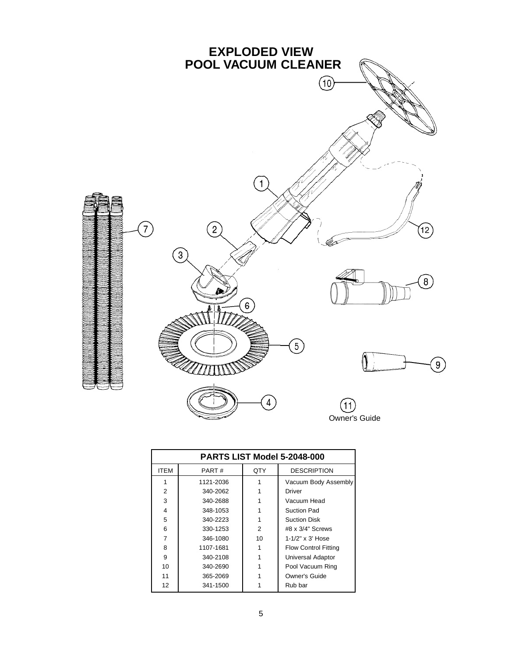

| <b>PARTS LIST Model 5-2048-000</b> |           |     |                             |  |  |
|------------------------------------|-----------|-----|-----------------------------|--|--|
| <b>ITEM</b>                        | PART#     | QTY | <b>DESCRIPTION</b>          |  |  |
|                                    | 1121-2036 |     | Vacuum Body Assembly        |  |  |
| 2                                  | 340-2062  |     | Driver                      |  |  |
| 3                                  | 340-2688  |     | Vacuum Head                 |  |  |
| 4                                  | 348-1053  |     | Suction Pad                 |  |  |
| 5                                  | 340-2223  |     | <b>Suction Disk</b>         |  |  |
| 6                                  | 330-1253  | 2   | $#8 \times 3/4"$ Screws     |  |  |
| 7                                  | 346-1080  | 10  | $1 - 1/2" \times 3'$ Hose   |  |  |
| 8                                  | 1107-1681 |     | <b>Flow Control Fitting</b> |  |  |
| 9                                  | 340-2108  |     | <b>Universal Adaptor</b>    |  |  |
| 10                                 | 340-2690  |     | Pool Vacuum Ring            |  |  |
| 11                                 | 365-2069  |     | Owner's Guide               |  |  |
| 12                                 | 341-1500  |     | Rub bar                     |  |  |